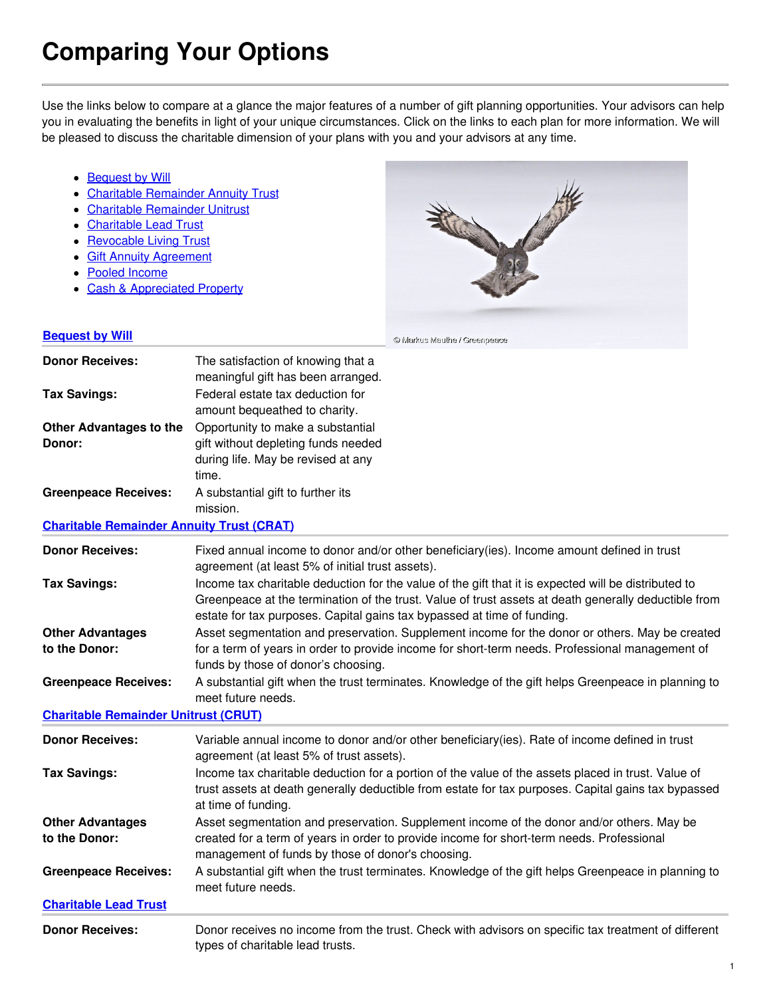## **Comparing Your Options**

Use the links below to compare at a glance the major features of a number of gift planning opportunities. Your advisors can help you in evaluating the benefits in light of your unique circumstances. Click on the links to each plan for more information. We will be pleased to discuss the charitable dimension of your plans with you and your advisors at any time.

- [Bequest](#bw) by Will
- Charitable [Remainder](#crat) Annuity Trust
- Charitable [Remainder](#crut) Unitrust
- [Charitable](#clt) Lead Trust
- [Revocable](#rlt) Living Trust
- Gift Annuity [Agreement](#gaa)
- Pooled [Income](#pif)
- Cash & [Appreciated](#cash) Property



| <b>Bequest by Will</b>                           |                                                                                    | © Markus Mauthe / Greenpeace                                                                                                                                                                                 |
|--------------------------------------------------|------------------------------------------------------------------------------------|--------------------------------------------------------------------------------------------------------------------------------------------------------------------------------------------------------------|
| <b>Donor Receives:</b>                           | The satisfaction of knowing that a<br>meaningful gift has been arranged.           |                                                                                                                                                                                                              |
| <b>Tax Savings:</b>                              | Federal estate tax deduction for<br>amount bequeathed to charity.                  |                                                                                                                                                                                                              |
| <b>Other Advantages to the</b>                   | Opportunity to make a substantial                                                  |                                                                                                                                                                                                              |
| Donor:                                           | gift without depleting funds needed<br>during life. May be revised at any<br>time. |                                                                                                                                                                                                              |
| <b>Greenpeace Receives:</b>                      | A substantial gift to further its<br>mission.                                      |                                                                                                                                                                                                              |
| <b>Charitable Remainder Annuity Trust (CRAT)</b> |                                                                                    |                                                                                                                                                                                                              |
| <b>Donor Receives:</b>                           | agreement (at least 5% of initial trust assets).                                   | Fixed annual income to donor and/or other beneficiary(ies). Income amount defined in trust                                                                                                                   |
| <b>Tax Savings:</b>                              | estate for tax purposes. Capital gains tax bypassed at time of funding.            | Income tax charitable deduction for the value of the gift that it is expected will be distributed to<br>Greenpeace at the termination of the trust. Value of trust assets at death generally deductible from |
| <b>Other Advantages</b><br>to the Donor:         | funds by those of donor's choosing.                                                | Asset segmentation and preservation. Supplement income for the donor or others. May be created<br>for a term of years in order to provide income for short-term needs. Professional management of            |
| <b>Greenpeace Receives:</b>                      | meet future needs.                                                                 | A substantial gift when the trust terminates. Knowledge of the gift helps Greenpeace in planning to                                                                                                          |
| <b>Charitable Remainder Unitrust (CRUT)</b>      |                                                                                    |                                                                                                                                                                                                              |
| <b>Donor Receives:</b>                           | agreement (at least 5% of trust assets).                                           | Variable annual income to donor and/or other beneficiary(ies). Rate of income defined in trust                                                                                                               |
| <b>Tax Savings:</b>                              | at time of funding.                                                                | Income tax charitable deduction for a portion of the value of the assets placed in trust. Value of<br>trust assets at death generally deductible from estate for tax purposes. Capital gains tax bypassed    |
| <b>Other Advantages</b><br>to the Donor:         | management of funds by those of donor's choosing.                                  | Asset segmentation and preservation. Supplement income of the donor and/or others. May be<br>created for a term of years in order to provide income for short-term needs. Professional                       |
| <b>Greenpeace Receives:</b>                      | meet future needs.                                                                 | A substantial gift when the trust terminates. Knowledge of the gift helps Greenpeace in planning to                                                                                                          |
| <b>Charitable Lead Trust</b>                     |                                                                                    |                                                                                                                                                                                                              |
| <b>Donor Receives:</b>                           | types of charitable lead trusts.                                                   | Donor receives no income from the trust. Check with advisors on specific tax treatment of different                                                                                                          |